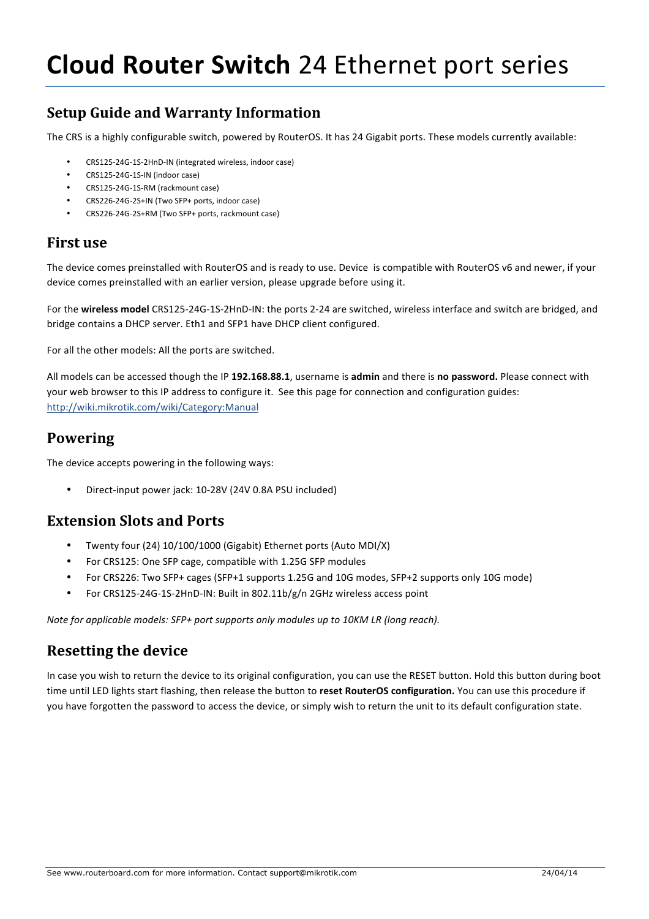# **Setup Guide and Warranty Information**

The CRS is a highly configurable switch, powered by RouterOS. It has 24 Gigabit ports. These models currently available:

- CRS125-24G-1S-2HnD-IN (integrated wireless, indoor case)
- CRS125-24G-1S-IN (indoor case)
- CRS125-24G-1S-RM (rackmount case)
- CRS226-24G-2S+IN (Two SFP+ ports, indoor case)
- CRS226-24G-2S+RM (Two SFP+ ports, rackmount case)

#### **First** use

The device comes preinstalled with RouterOS and is ready to use. Device is compatible with RouterOS v6 and newer, if your device comes preinstalled with an earlier version, please upgrade before using it.

For the wireless model CRS125-24G-1S-2HnD-IN: the ports 2-24 are switched, wireless interface and switch are bridged, and bridge contains a DHCP server. Eth1 and SFP1 have DHCP client configured.

For all the other models: All the ports are switched.

All models can be accessed though the IP 192.168.88.1, username is admin and there is no password. Please connect with your web browser to this IP address to configure it. See this page for connection and configuration guides: http://wiki.mikrotik.com/wiki/Category:Manual

### **Powering**

The device accepts powering in the following ways:

Direct-input power jack: 10-28V (24V 0.8A PSU included)

### **Extension Slots and Ports**

- Twenty four (24) 10/100/1000 (Gigabit) Ethernet ports (Auto MDI/X)
- For CRS125: One SFP cage, compatible with 1.25G SFP modules
- For CRS226: Two SFP+ cages (SFP+1 supports 1.25G and 10G modes, SFP+2 supports only 10G mode)
- For CRS125-24G-1S-2HnD-IN: Built in 802.11b/g/n 2GHz wireless access point

*Note* for applicable models: SFP+ port supports only modules up to 10KM LR (long reach).

### **Resetting the device**

In case you wish to return the device to its original configuration, you can use the RESET button. Hold this button during boot time until LED lights start flashing, then release the button to reset RouterOS configuration. You can use this procedure if you have forgotten the password to access the device, or simply wish to return the unit to its default configuration state.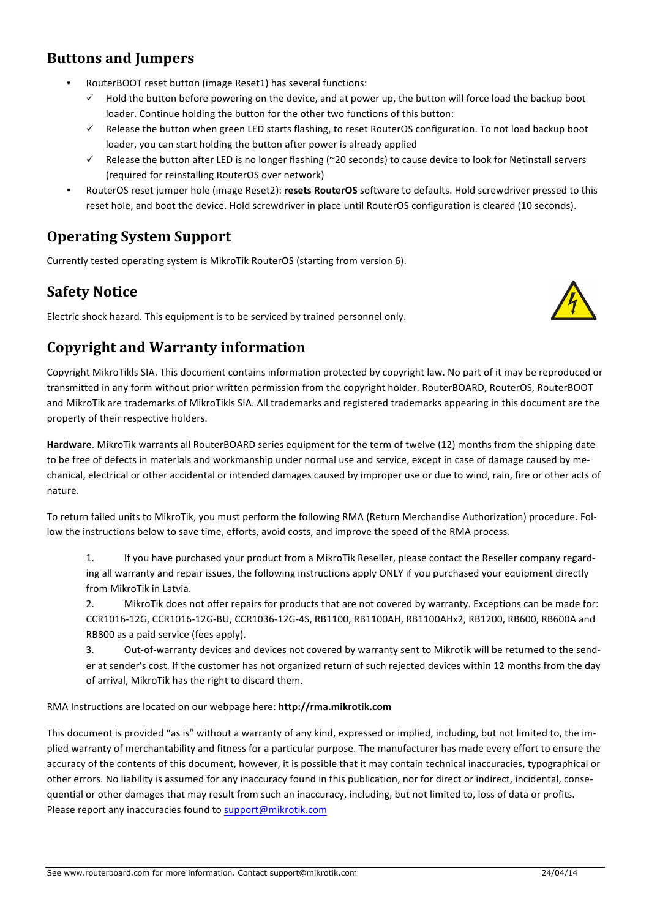## **Buttons and Jumpers**

- RouterBOOT reset button (image Reset1) has several functions:
	- $\checkmark$  Hold the button before powering on the device, and at power up, the button will force load the backup boot loader. Continue holding the button for the other two functions of this button:
	- $\checkmark$  Release the button when green LED starts flashing, to reset RouterOS configuration. To not load backup boot loader, you can start holding the button after power is already applied
	- $\checkmark$  Release the button after LED is no longer flashing (~20 seconds) to cause device to look for Netinstall servers (required for reinstalling RouterOS over network)
- RouterOS reset jumper hole (image Reset2): resets RouterOS software to defaults. Hold screwdriver pressed to this reset hole, and boot the device. Hold screwdriver in place until RouterOS configuration is cleared (10 seconds).

# **Operating System Support**

Currently tested operating system is MikroTik RouterOS (starting from version 6).

## **Safety Notice**

Electric shock hazard. This equipment is to be serviced by trained personnel only.



## **Copyright and Warranty information**

Copyright MikroTikls SIA. This document contains information protected by copyright law. No part of it may be reproduced or transmitted in any form without prior written permission from the copyright holder. RouterBOARD, RouterOS, RouterBOOT and MikroTik are trademarks of MikroTikls SIA. All trademarks and registered trademarks appearing in this document are the property of their respective holders.

Hardware. MikroTik warrants all RouterBOARD series equipment for the term of twelve (12) months from the shipping date to be free of defects in materials and workmanship under normal use and service, except in case of damage caused by mechanical, electrical or other accidental or intended damages caused by improper use or due to wind, rain, fire or other acts of nature.

To return failed units to MikroTik, you must perform the following RMA (Return Merchandise Authorization) procedure. Follow the instructions below to save time, efforts, avoid costs, and improve the speed of the RMA process.

1. If you have purchased your product from a MikroTik Reseller, please contact the Reseller company regarding all warranty and repair issues, the following instructions apply ONLY if you purchased your equipment directly from MikroTik in Latvia.

2. MikroTik does not offer repairs for products that are not covered by warranty. Exceptions can be made for: CCR1016-12G, CCR1016-12G-BU, CCR1036-12G-4S, RB1100, RB1100AH, RB1100AHx2, RB1200, RB600, RB600A and RB800 as a paid service (fees apply).

3. Out-of-warranty devices and devices not covered by warranty sent to Mikrotik will be returned to the sender at sender's cost. If the customer has not organized return of such rejected devices within 12 months from the day of arrival, MikroTik has the right to discard them.

#### RMA Instructions are located on our webpage here: http://rma.mikrotik.com

This document is provided "as is" without a warranty of any kind, expressed or implied, including, but not limited to, the implied warranty of merchantability and fitness for a particular purpose. The manufacturer has made every effort to ensure the accuracy of the contents of this document, however, it is possible that it may contain technical inaccuracies, typographical or other errors. No liability is assumed for any inaccuracy found in this publication, nor for direct or indirect, incidental, consequential or other damages that may result from such an inaccuracy, including, but not limited to, loss of data or profits. Please report any inaccuracies found to support@mikrotik.com